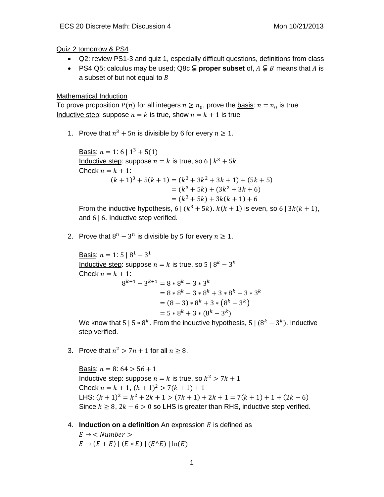Quiz 2 tomorrow & PS4

- Q2: review PS1-3 and quiz 1, especially difficult questions, definitions from class
- PS4 Q5: calculus may be used; Q8c  $\subseteq$  **proper subset** of,  $A \subseteq B$  means that A is a subset of but not equal to  $B$

## Mathematical Induction

To prove proposition  $P(n)$  for all integers  $n \ge n_0$ , prove the basis:  $n = n_0$  is true Inductive step: suppose  $n = k$  is true, show  $n = k + 1$  is true

1. Prove that  $n^3 + 5n$  is divisible by 6 for every  $n \ge 1$ .

Basis:  $n = 1$ : 6 |  $1^3 + 5(1)$ Inductive step: suppose  $n = k$  is true, so 6 |  $k^3 + 5k$ Check  $n = k + 1$ :  $(k + 1)^3 + 5(k + 1) = (k^3 + 3k^2 + 3k + 1) + (5k + 5)$  $=(k^3+5k)+(3k^2+3k+6)$  $=(k^3+5k)+3k(k+1)+6$ From the inductive hypothesis,  $6|(k^3+5k) \cdot k(k+1)$  is even, so  $6|3k(k+1)$ ,

and 6 | 6. Inductive step verified.

2. Prove that  $8^n - 3^n$  is divisible by 5 for every  $n \ge 1$ .

Basis:  $n = 1: 5 \mid 8^1 - 3^1$ Inductive step: suppose  $n = k$  is true, so 5 |  $8^k - 3^k$ Check  $n = k + 1$ :  $8^{k+1} - 3^{k+1} = 8 * 8^k - 3 * 3^k$  $= 8 * 8<sup>k</sup> - 3 * 8<sup>k</sup> + 3 * 8<sup>k</sup> - 3 * 3<sup>k</sup>$  $= (8-3)*8^{k} + 3*(8^{k}-3^{k})$  $= 5 * 8^k + 3 * (8^k - 3^k)$ 

We know that 5 | 5  $*$  8<sup>k</sup>. From the inductive hypothesis, 5 | (8<sup>k</sup> – 3<sup>k</sup>). Inductive step verified.

3. Prove that  $n^2 > 7n + 1$  for all  $n \ge 8$ .

Basis:  $n = 8: 64 > 56 + 1$ Inductive step: suppose  $n = k$  is true, so  $k^2 > 7k + 1$ Check  $n = k + 1$ ,  $(k + 1)^2 > 7(k + 1) + 1$ LHS:  $(k + 1)^2 = k^2 + 2k + 1 > (7k + 1) + 2k + 1 = 7(k + 1) + 1 + (2k - 6)$ Since  $k \geq 8$ ,  $2k - 6 > 0$  so LHS is greater than RHS, inductive step verified.

4. **Induction on a definition** An expression  $E$  is defined as

 $E \rightarrow$  < Number >  $E \to (E + E) | (E * E) | (E^{\wedge} E) | \ln(E)$